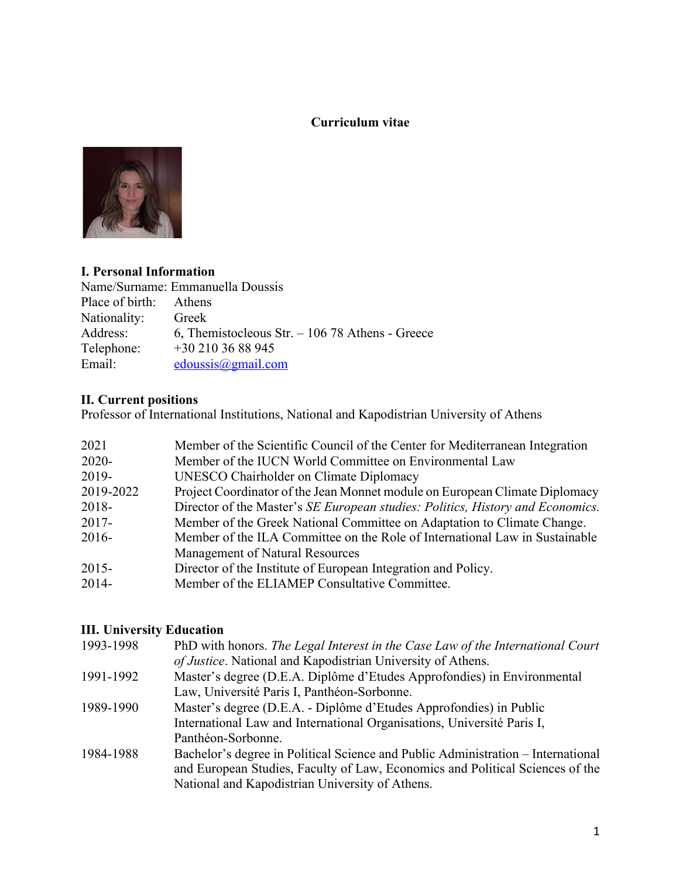### **Curriculum vitae**



## **I. Personal Information**

| Name/Surname: Emmanuella Doussis |                                                 |  |
|----------------------------------|-------------------------------------------------|--|
| Place of birth: Athens           |                                                 |  |
| Nationality:                     | Greek                                           |  |
| Address:                         | 6, Themistocleous Str. $-10678$ Athens - Greece |  |
| Telephone:                       | $+302103688945$                                 |  |
| Email:                           | edoussis@gmail.com                              |  |

# **II. Current positions**

Professor of International Institutions, National and Kapodistrian University of Athens

| 2021      | Member of the Scientific Council of the Center for Mediterranean Integration   |
|-----------|--------------------------------------------------------------------------------|
| $2020 -$  | Member of the IUCN World Committee on Environmental Law                        |
| 2019-     | UNESCO Chairholder on Climate Diplomacy                                        |
| 2019-2022 | Project Coordinator of the Jean Monnet module on European Climate Diplomacy    |
| $2018 -$  | Director of the Master's SE European studies: Politics, History and Economics. |
| $2017 -$  | Member of the Greek National Committee on Adaptation to Climate Change.        |
| $2016-$   | Member of the ILA Committee on the Role of International Law in Sustainable    |
|           | Management of Natural Resources                                                |
| $2015 -$  | Director of the Institute of European Integration and Policy.                  |
| $2014 -$  | Member of the ELIAMEP Consultative Committee.                                  |
|           |                                                                                |

# **III. University Education**

| 1993-1998 | PhD with honors. The Legal Interest in the Case Law of the International Court   |
|-----------|----------------------------------------------------------------------------------|
|           | of Justice. National and Kapodistrian University of Athens.                      |
| 1991-1992 | Master's degree (D.E.A. Diplôme d'Etudes Approfondies) in Environmental          |
|           | Law, Université Paris I, Panthéon-Sorbonne.                                      |
| 1989-1990 | Master's degree (D.E.A. - Diplôme d'Etudes Approfondies) in Public               |
|           | International Law and International Organisations, Université Paris I,           |
|           | Panthéon-Sorbonne.                                                               |
| 1984-1988 | Bachelor's degree in Political Science and Public Administration – International |
|           | and European Studies, Faculty of Law, Economics and Political Sciences of the    |
|           | National and Kapodistrian University of Athens.                                  |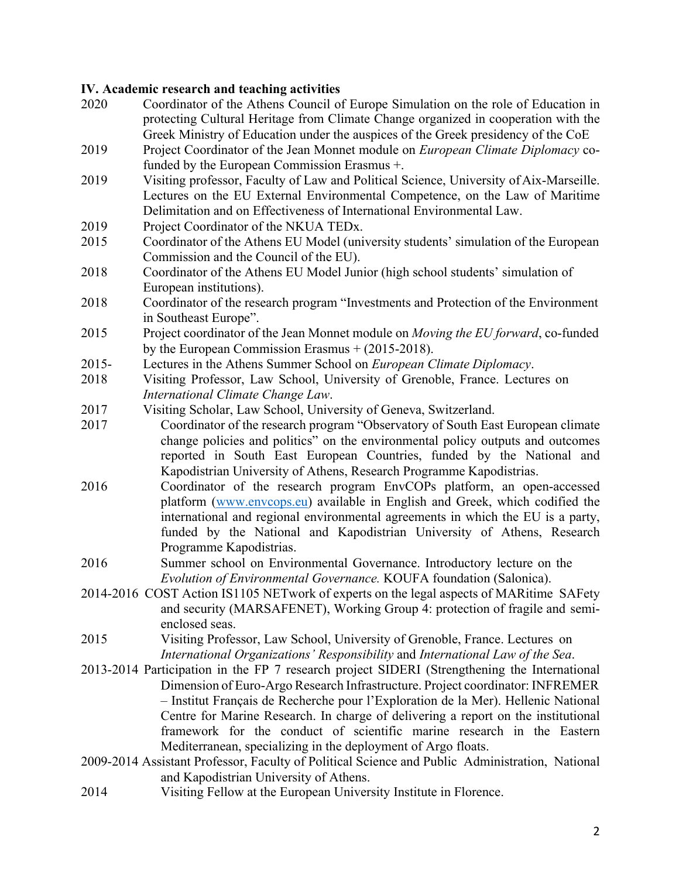#### **IV. Academic research and teaching activities**

| 2020     | Coordinator of the Athens Council of Europe Simulation on the role of Education in              |
|----------|-------------------------------------------------------------------------------------------------|
|          | protecting Cultural Heritage from Climate Change organized in cooperation with the              |
|          | Greek Ministry of Education under the auspices of the Greek presidency of the CoE               |
| 2019     | Project Coordinator of the Jean Monnet module on European Climate Diplomacy co-                 |
|          | funded by the European Commission Erasmus +.                                                    |
| 2019     | Visiting professor, Faculty of Law and Political Science, University of Aix-Marseille.          |
|          | Lectures on the EU External Environmental Competence, on the Law of Maritime                    |
|          | Delimitation and on Effectiveness of International Environmental Law.                           |
|          |                                                                                                 |
| 2019     | Project Coordinator of the NKUA TEDx.                                                           |
| 2015     | Coordinator of the Athens EU Model (university students' simulation of the European             |
|          | Commission and the Council of the EU).                                                          |
| 2018     | Coordinator of the Athens EU Model Junior (high school students' simulation of                  |
|          | European institutions).                                                                         |
| 2018     | Coordinator of the research program "Investments and Protection of the Environment              |
|          | in Southeast Europe".                                                                           |
| 2015     | Project coordinator of the Jean Monnet module on Moving the EU forward, co-funded               |
|          | by the European Commission Erasmus $+$ (2015-2018).                                             |
| $2015 -$ | Lectures in the Athens Summer School on European Climate Diplomacy.                             |
| 2018     | Visiting Professor, Law School, University of Grenoble, France. Lectures on                     |
|          | International Climate Change Law.                                                               |
| 2017     | Visiting Scholar, Law School, University of Geneva, Switzerland.                                |
| 2017     | Coordinator of the research program "Observatory of South East European climate                 |
|          | change policies and politics" on the environmental policy outputs and outcomes                  |
|          | reported in South East European Countries, funded by the National and                           |
|          | Kapodistrian University of Athens, Research Programme Kapodistrias.                             |
| 2016     | Coordinator of the research program EnvCOPs platform, an open-accessed                          |
|          | platform (www.envcops.eu) available in English and Greek, which codified the                    |
|          | international and regional environmental agreements in which the EU is a party,                 |
|          | funded by the National and Kapodistrian University of Athens, Research                          |
|          | Programme Kapodistrias.                                                                         |
| 2016     | Summer school on Environmental Governance. Introductory lecture on the                          |
|          | Evolution of Environmental Governance. KOUFA foundation (Salonica).                             |
|          | 2014-2016 COST Action IS1105 NETwork of experts on the legal aspects of MARitime SAFety         |
|          | and security (MARSAFENET), Working Group 4: protection of fragile and semi-                     |
|          |                                                                                                 |
|          | enclosed seas.                                                                                  |
| 2015     | Visiting Professor, Law School, University of Grenoble, France. Lectures on                     |
|          | International Organizations' Responsibility and International Law of the Sea.                   |
|          | 2013-2014 Participation in the FP 7 research project SIDERI (Strengthening the International    |
|          | Dimension of Euro-Argo Research Infrastructure. Project coordinator: INFREMER                   |
|          | - Institut Français de Recherche pour l'Exploration de la Mer). Hellenic National               |
|          | Centre for Marine Research. In charge of delivering a report on the institutional               |
|          | framework for the conduct of scientific marine research in the Eastern                          |
|          | Mediterranean, specializing in the deployment of Argo floats.                                   |
|          | 2009-2014 Assistant Professor, Faculty of Political Science and Public Administration, National |
|          | and Kapodistrian University of Athens.                                                          |
| 2014     | Visiting Fellow at the European University Institute in Florence.                               |
|          |                                                                                                 |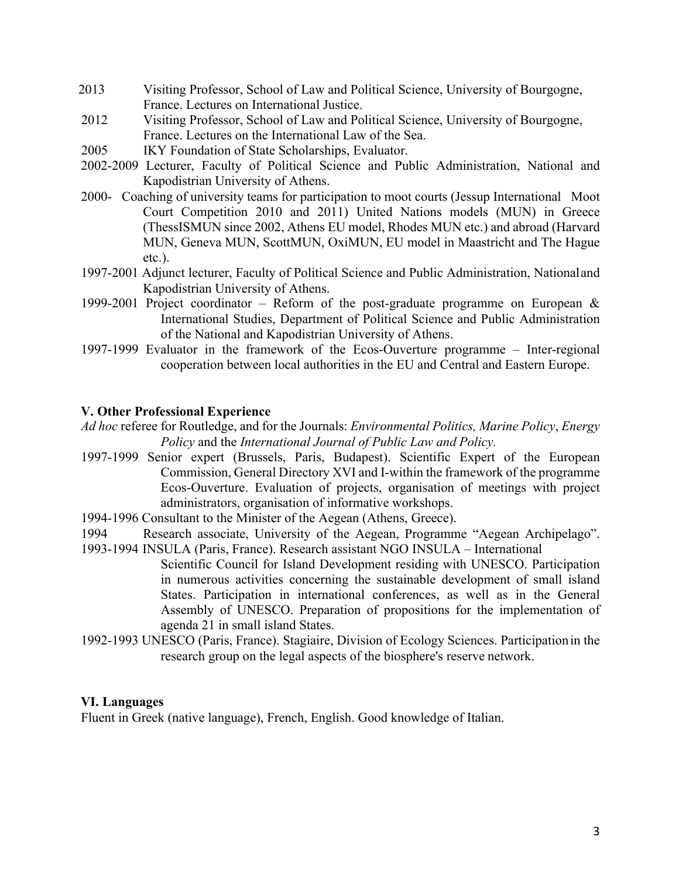- 2013 Visiting Professor, School of Law and Political Science, University of Bourgogne, France. Lectures on International Justice.
- 2012 Visiting Professor, School of Law and Political Science, University of Bourgogne, France. Lectures on the International Law of the Sea.
- 2005 IKY Foundation of State Scholarships, Evaluator.
- 2002-2009 Lecturer, Faculty of Political Science and Public Administration, National and Kapodistrian University of Athens.
- 2000- Coaching of university teams for participation to moot courts (Jessup International Moot Court Competition 2010 and 2011) United Nations models (MUN) in Greece (ThessISMUN since 2002, Athens EU model, Rhodes MUN etc.) and abroad (Harvard MUN, Geneva MUN, ScottMUN, OxiMUN, EU model in Maastricht and The Hague etc.).
- 1997-2001 Adjunct lecturer, Faculty of Political Science and Public Administration, Nationaland Kapodistrian University of Athens.
- 1999-2001 Project coordinator Reform of the post-graduate programme on European  $\&$ International Studies, Department of Political Science and Public Administration of the National and Kapodistrian University of Athens.
- 1997-1999 Evaluator in the framework of the Ecos-Ouverture programme Inter-regional cooperation between local authorities in the EU and Central and Eastern Europe.

#### **V. Other Professional Experience**

- *Ad hoc* referee for Routledge, and for the Journals: *Environmental Politics, Marine Policy*, *Energy Policy* and the *International Journal of Public Law and Policy.*
- 1997-1999 Senior expert (Brussels, Paris, Budapest). Scientific Expert of the European Commission, General Directory XVI and I-within the framework of the programme Ecos-Ouverture. Evaluation of projects, organisation of meetings with project administrators, organisation of informative workshops.
- 1994-1996 Consultant to the Minister of the Aegean (Athens, Greece).
- 1994 Research associate, University of the Aegean, Programme "Aegean Archipelago".
- 1993-1994 INSULA (Paris, France). Research assistant NGO INSULA International Scientific Council for Island Development residing with UNESCO. Participation in numerous activities concerning the sustainable development of small island States. Participation in international conferences, as well as in the General Assembly of UNESCO. Preparation of propositions for the implementation of agenda 21 in small island States.
- 1992-1993 UNESCO (Paris, France). Stagiaire, Division of Ecology Sciences. Participationin the research group on the legal aspects of the biosphere's reserve network.

#### **VI. Languages**

Fluent in Greek (native language), French, English. Good knowledge of Italian.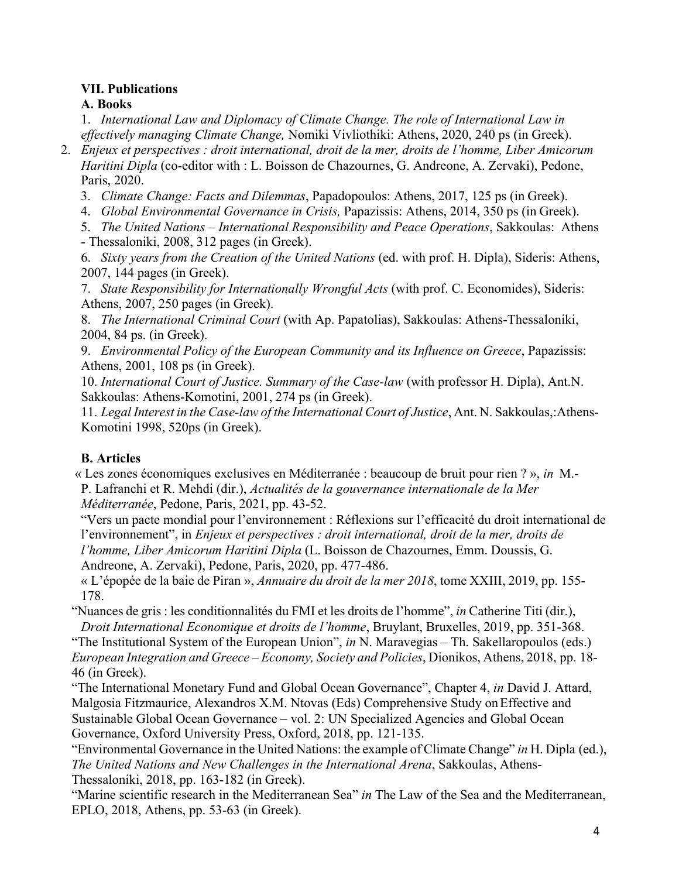## **VΙΙ. Publications**

**A. Books**

1. *International Law and Diplomacy of Climate Change. The role of International Law in effectively managing Climate Change,* Nomiki Vivliothiki: Athens, 2020, 240 ps (in Greek).

- 2. *Enjeux et perspectives : droit international, droit de la mer, droits de l'homme, Liber Amicorum Haritini Dipla* (co-editor with : L. Boisson de Chazournes, G. Andreone, A. Zervaki), Pedone, Paris, 2020.
	- 3. *Climate Change: Facts and Dilemmas*, Papadopoulos: Athens, 2017, 125 ps (in Greek).
	- 4. *Global Environmental Governance in Crisis,* Papazissis: Athens, 2014, 350 ps (in Greek).
	- 5. *The United Nations – International Responsibility and Peace Operations*, Sakkoulas: Athens - Thessaloniki, 2008, 312 pages (in Greek).

6. *Sixty years from the Creation of the United Nations* (ed. with prof. H. Dipla), Sideris: Athens, 2007, 144 pages (in Greek).

7. *State Responsibility for Internationally Wrongful Acts* (with prof. C. Economides), Sideris: Athens, 2007, 250 pages (in Greek).

8. *The International Criminal Court* (with Ap. Papatolias), Sakkoulas: Athens-Thessaloniki, 2004, 84 ps. (in Greek).

9. *Environmental Policy of the European Community and its Influence on Greece*, Papazissis: Athens, 2001, 108 ps (in Greek).

10. *International Court of Justice. Summary of the Case-law* (with professor H. Dipla), Ant.N. Sakkoulas: Athens-Komotini, 2001, 274 ps (in Greek).

11. *Legal Interest in the Case-law of the International Court of Justice*, Ant. N. Sakkoulas,:Athens-Komotini 1998, 520ps (in Greek).

# **B. Articles**

« Les zones économiques exclusives en Méditerranée : beaucoup de bruit pour rien ? », *in* M.- P. Lafranchi et R. Mehdi (dir.), *Actualités de la gouvernance internationale de la Mer Méditerranée*, Pedone, Paris, 2021, pp. 43-52.

"Vers un pacte mondial pour l'environnement : Réflexions sur l'efficacité du droit international de l'environnement", in *Enjeux et perspectives : droit international, droit de la mer, droits de l'homme, Liber Amicorum Haritini Dipla* (L. Boisson de Chazournes, Emm. Doussis, G. Andreone, A. Zervaki), Pedone, Paris, 2020, pp. 477-486.

« L'épopée de la baie de Piran », *Annuaire du droit de la mer 2018*, tome XXIII, 2019, pp. 155- 178.

"Nuances de gris : les conditionnalités du FMI et les droits de l'homme", *in* Catherine Titi (dir.), *Droit International Economique et droits de l'homme*, Bruylant, Bruxelles, 2019, pp. 351-368.

"The Institutional System of the European Union", *in* N. Maravegias – Th. Sakellaropoulos (eds.) *European Integration and Greece – Economy, Society and Policies*, Dionikos, Athens, 2018, pp. 18- 46 (in Greek).

"The International Monetary Fund and Global Ocean Governance", Chapter 4, *in* David J. Attard, Malgosia Fitzmaurice, Alexandros X.M. Ntovas (Eds) Comprehensive Study onEffective and Sustainable Global Ocean Governance – vol. 2: UN Specialized Agencies and Global Ocean Governance, Oxford University Press, Oxford, 2018, pp. 121-135.

"Environmental Governance in the United Nations: the example of Climate Change" *in* H. Dipla (ed.), *The United Nations and New Challenges in the International Arena*, Sakkoulas, Athens-Thessaloniki, 2018, pp. 163-182 (in Greek).

"Marine scientific research in the Mediterranean Sea" *in* The Law of the Sea and the Mediterranean, EPLO, 2018, Athens, pp. 53-63 (in Greek).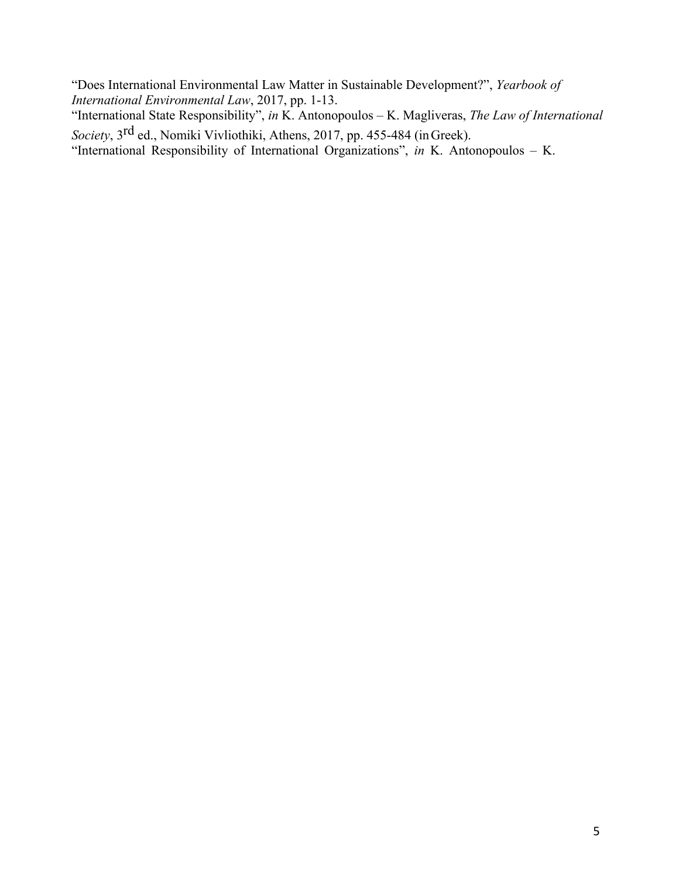"Does International Environmental Law Matter in Sustainable Development?", *Yearbook of International Environmental Law*, 2017, pp. 1-13.

"International State Responsibility", *in* K. Antonopoulos – K. Magliveras, *The Law of International Society*, 3rd ed., Nomiki Vivliothiki, Athens, 2017, pp. 455-484 (inGreek).

"International Responsibility of International Organizations", *in* K. Antonopoulos – K.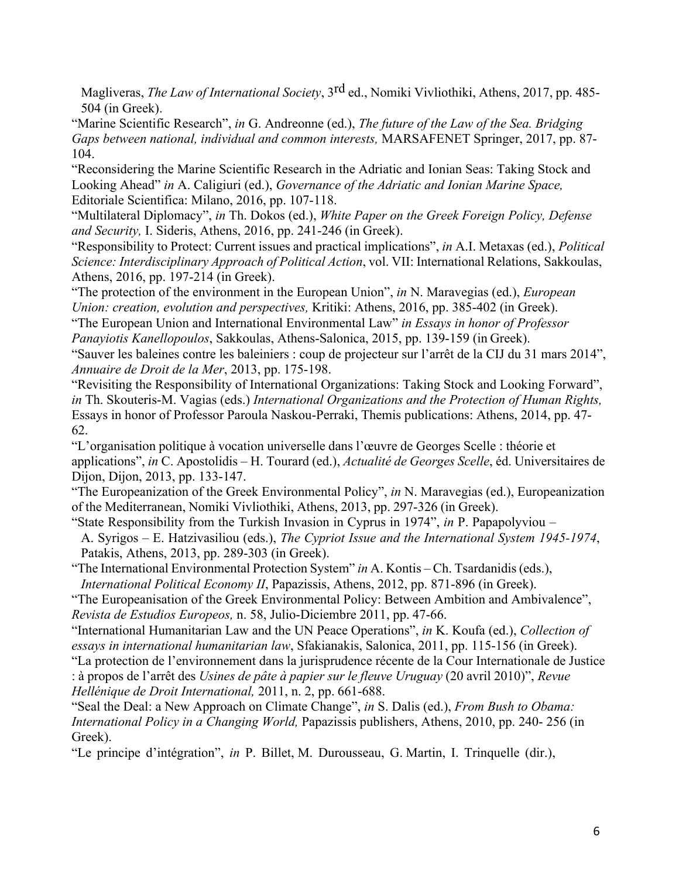Magliveras, *The Law of International Society*, 3rd ed., Nomiki Vivliothiki, Athens, 2017, pp. 485- 504 (in Greek).

"Marine Scientific Research", *in* G. Andreonne (ed.), *The future of the Law of the Sea. Bridging Gaps between national, individual and common interests,* MARSAFENET Springer, 2017, pp. 87- 104.

"Reconsidering the Marine Scientific Research in the Adriatic and Ionian Seas: Taking Stock and Looking Ahead" *in* A. Caligiuri (ed.), *Governance of the Adriatic and Ionian Marine Space,*  Editoriale Scientifica: Milano, 2016, pp. 107-118.

"Multilateral Diplomacy", *in* Th. Dokos (ed.), *White Paper on the Greek Foreign Policy, Defense and Security,* I. Sideris, Athens, 2016, pp. 241-246 (in Greek).

"Responsibility to Protect: Current issues and practical implications", *in* A.I. Metaxas (ed.), *Political Science: Interdisciplinary Approach of Political Action*, vol. VII: International Relations, Sakkoulas, Athens, 2016, pp. 197-214 (in Greek).

"The protection of the environment in the European Union", *in* N. Maravegias (ed.), *European Union: creation, evolution and perspectives,* Kritiki: Athens, 2016, pp. 385-402 (in Greek).

"The European Union and International Environmental Law" *in Essays in honor of Professor Panayiotis Kanellopoulos*, Sakkoulas, Athens-Salonica, 2015, pp. 139-159 (in Greek).

"Sauver les baleines contre les baleiniers : coup de projecteur sur l'arrêt de la CIJ du 31 mars 2014", *Annuaire de Droit de la Mer*, 2013, pp. 175-198.

"Revisiting the Responsibility of International Organizations: Taking Stock and Looking Forward", *in* Th. Skouteris-M. Vagias (eds.) *International Organizations and the Protection of Human Rights,*  Essays in honor of Professor Paroula Naskou-Perraki, Themis publications: Athens, 2014, pp. 47- 62.

"L'organisation politique à vocation universelle dans l'œuvre de Georges Scelle : théorie et applications", *in* C. Apostolidis – H. Tourard (ed.), *Actualité de Georges Scelle*, éd. Universitaires de Dijon, Dijon, 2013, pp. 133-147.

"The Europeanization of the Greek Environmental Policy", *in* N. Maravegias (ed.), Europeanization of the Mediterranean, Nomiki Vivliothiki, Athens, 2013, pp. 297-326 (in Greek).

"State Responsibility from the Turkish Invasion in Cyprus in 1974", *in* P. Papapolyviou –

A. Syrigos – E. Hatzivasiliou (eds.), *The Cypriot Issue and the International System 1945-1974*, Patakis, Athens, 2013, pp. 289-303 (in Greek).

"The International Environmental Protection System" *in* A. Kontis – Ch. Tsardanidis(eds.), *International Political Economy II*, Papazissis, Athens, 2012, pp. 871-896 (in Greek).

"The Europeanisation of the Greek Environmental Policy: Between Ambition and Ambivalence", *Revista de Estudios Europeos,* n. 58, Julio-Diciembre 2011, pp. 47-66.

"International Humanitarian Law and the UN Peace Operations", *in* K. Koufa (ed.), *Collection of essays in international humanitarian law*, Sfakianakis, Salonica, 2011, pp. 115-156 (in Greek).

"La protection de l'environnement dans la jurisprudence récente de la Cour Internationale de Justice

: à propos de l'arrêt des *Usines de pâte à papier sur le fleuve Uruguay* (20 avril 2010)", *Revue Hellénique de Droit International,* 2011, n. 2, pp. 661-688.

"Seal the Deal: a New Approach on Climate Change", *in* S. Dalis (ed.), *From Bush to Obama: International Policy in a Changing World,* Papazissis publishers, Athens, 2010, pp. 240- 256 (in Greek).

"Le principe d'intégration", *in* P. Billet, M. Durousseau, G. Martin, I. Trinquelle (dir.),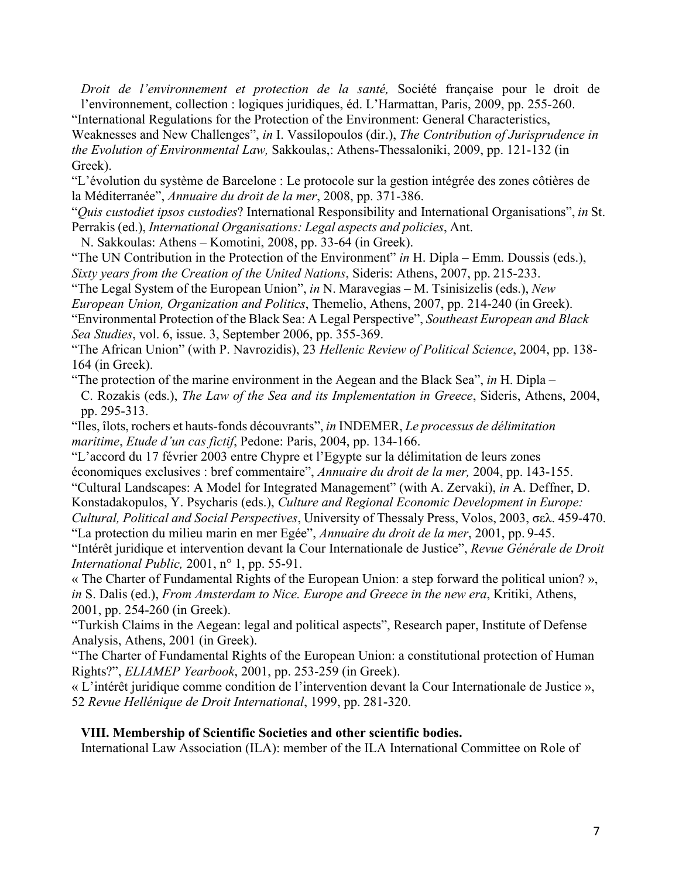*Droit de l'environnement et protection de la santé,* Société française pour le droit de l'environnement, collection : logiques juridiques, éd. L'Harmattan, Paris, 2009, pp. 255-260.

"International Regulations for the Protection of the Environment: General Characteristics,

Weaknesses and New Challenges", *in* I. Vassilopoulos (dir.), *The Contribution of Jurisprudence in the Evolution of Environmental Law,* Sakkoulas,: Athens-Thessaloniki, 2009, pp. 121-132 (in Greek).

"L'évolution du système de Barcelone : Le protocole sur la gestion intégrée des zones côtières de la Méditerranée", *Annuaire du droit de la mer*, 2008, pp. 371-386.

"*Quis custodiet ipsos custodies*? International Responsibility and International Organisations", *in* St. Perrakis (ed.), *International Organisations: Legal aspects and policies*, Ant.

N. Sakkoulas: Athens – Komotini, 2008, pp. 33-64 (in Greek).

"The UN Contribution in the Protection of the Environment" *in* H. Dipla – Emm. Doussis (eds.), *Sixty years from the Creation of the United Nations*, Sideris: Athens, 2007, pp. 215-233.

"The Legal System of the European Union", *in* N. Maravegias – M. Tsinisizelis (eds.), *New* 

*European Union, Organization and Politics*, Themelio, Athens, 2007, pp. 214-240 (in Greek). "Environmental Protection of the Black Sea: A Legal Perspective", *Southeast European and Black* 

*Sea Studies*, vol. 6, issue. 3, September 2006, pp. 355-369.

"The African Union" (with P. Navrozidis), 23 *Hellenic Review of Political Science*, 2004, pp. 138- 164 (in Greek).

"The protection of the marine environment in the Aegean and the Black Sea", *in* H. Dipla –

C. Rozakis (eds.), *The Law of the Sea and its Implementation in Greece*, Sideris, Athens, 2004, pp. 295-313.

"Iles, îlots, rochers et hauts-fonds découvrants", *in* INDEMER, *Le processus de délimitation maritime*, *Etude d'un cas fictif*, Pedone: Paris, 2004, pp. 134-166.

"L'accord du 17 février 2003 entre Chypre et l'Egypte sur la délimitation de leurs zones économiques exclusives : bref commentaire", *Annuaire du droit de la mer,* 2004, pp. 143-155.

"Cultural Landscapes: A Model for Integrated Management" (with A. Zervaki), *in* A. Deffner, D.

Konstadakopulos, Y. Psycharis (eds.), *Culture and Regional Economic Development in Europe: Cultural, Political and Social Perspectives*, University of Thessaly Press, Volos, 2003, σελ. 459-470.

"La protection du milieu marin en mer Egée", *Annuaire du droit de la mer*, 2001, pp. 9-45.

"Intérêt juridique et intervention devant la Cour Internationale de Justice", *Revue Générale de Droit International Public,* 2001, n° 1, pp. 55-91.

« The Charter of Fundamental Rights of the European Union: a step forward the political union? », *in* S. Dalis (ed.), *From Amsterdam to Nice. Europe and Greece in the new era*, Kritiki, Athens, 2001, pp. 254-260 (in Greek).

"Turkish Claims in the Aegean: legal and political aspects", Research paper, Institute of Defense Analysis, Athens, 2001 (in Greek).

"The Charter of Fundamental Rights of the European Union: a constitutional protection of Human Rights?", *ELIAMEP Yearbook*, 2001, pp. 253-259 (in Greek).

« L'intérêt juridique comme condition de l'intervention devant la Cour Internationale de Justice », 52 *Revue Hellénique de Droit International*, 1999, pp. 281-320.

#### **VIΙΙ. Membership of Scientific Societies and other scientific bodies.**

International Law Association (ILA): member of the ILA International Committee on Role of